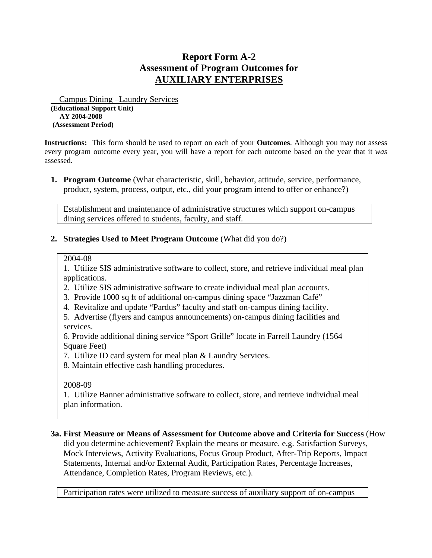## **Report Form A-2 Assessment of Program Outcomes for AUXILIARY ENTERPRISES**

 Campus Dining –Laundry Services **(Educational Support Unit) AY 2004-2008 (Assessment Period)** 

**Instructions:** This form should be used to report on each of your **Outcomes**. Although you may not assess every program outcome every year, you will have a report for each outcome based on the year that it *was* assessed.

**1. Program Outcome** (What characteristic, skill, behavior, attitude, service, performance, product, system, process, output, etc., did your program intend to offer or enhance?)

Establishment and maintenance of administrative structures which support on-campus dining services offered to students, faculty, and staff.

**2. Strategies Used to Meet Program Outcome** (What did you do?)

2004-08

1. Utilize SIS administrative software to collect, store, and retrieve individual meal plan applications.

- 2. Utilize SIS administrative software to create individual meal plan accounts.
- 3. Provide 1000 sq ft of additional on-campus dining space "Jazzman Café"
- 4. Revitalize and update "Pardus" faculty and staff on-campus dining facility.
- 5. Advertise (flyers and campus announcements) on-campus dining facilities and services.

6. Provide additional dining service "Sport Grille" locate in Farrell Laundry (1564 Square Feet)

- 7. Utilize ID card system for meal plan & Laundry Services.
- 8. Maintain effective cash handling procedures.

2008-09

1. Utilize Banner administrative software to collect, store, and retrieve individual meal plan information.

## **3a. First Measure or Means of Assessment for Outcome above and Criteria for Success** (How

did you determine achievement? Explain the means or measure. e.g. Satisfaction Surveys, Mock Interviews, Activity Evaluations, Focus Group Product, After-Trip Reports, Impact Statements, Internal and/or External Audit, Participation Rates, Percentage Increases, Attendance, Completion Rates, Program Reviews, etc.).

Participation rates were utilized to measure success of auxiliary support of on-campus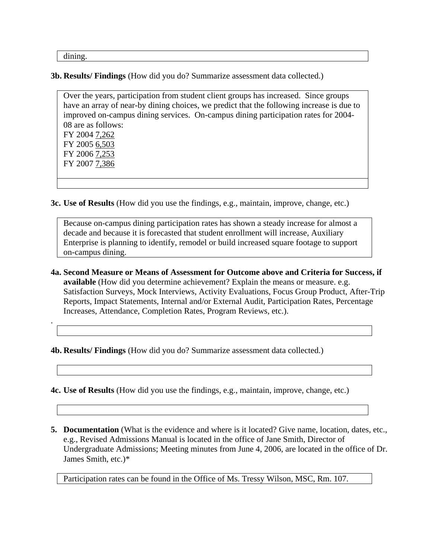dining.

.

**3b. Results/ Findings** (How did you do? Summarize assessment data collected.)

Over the years, participation from student client groups has increased. Since groups have an array of near-by dining choices, we predict that the following increase is due to improved on-campus dining services. On-campus dining participation rates for 2004- 08 are as follows: FY 2004 7,262 FY 2005 6,503 FY 2006 7,253 FY 2007 7,386

**3c. Use of Results** (How did you use the findings, e.g., maintain, improve, change, etc.)

Because on-campus dining participation rates has shown a steady increase for almost a decade and because it is forecasted that student enrollment will increase, Auxiliary Enterprise is planning to identify, remodel or build increased square footage to support on-campus dining.

**4a. Second Measure or Means of Assessment for Outcome above and Criteria for Success, if available** (How did you determine achievement? Explain the means or measure. e.g. Satisfaction Surveys, Mock Interviews, Activity Evaluations, Focus Group Product, After-Trip Reports, Impact Statements, Internal and/or External Audit, Participation Rates, Percentage Increases, Attendance, Completion Rates, Program Reviews, etc.).

**4b. Results/ Findings** (How did you do? Summarize assessment data collected.)

**4c. Use of Results** (How did you use the findings, e.g., maintain, improve, change, etc.)

**5. Documentation** (What is the evidence and where is it located? Give name, location, dates, etc., e.g., Revised Admissions Manual is located in the office of Jane Smith, Director of Undergraduate Admissions; Meeting minutes from June 4, 2006, are located in the office of Dr. James Smith, etc.)\*

Participation rates can be found in the Office of Ms. Tressy Wilson, MSC, Rm. 107.